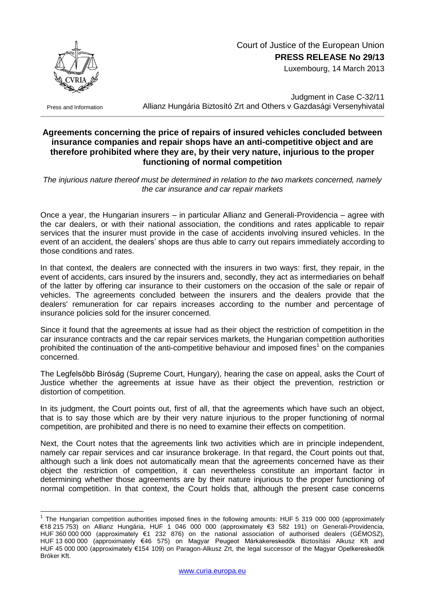

## Court of Justice of the European Union **PRESS RELEASE No 29/13**

Luxembourg, 14 March 2013

Press and Information

1

Judgment in Case C-32/11 Allianz Hungária Biztosító Zrt and Others v Gazdasági Versenyhivatal

## **Agreements concerning the price of repairs of insured vehicles concluded between insurance companies and repair shops have an anti-competitive object and are therefore prohibited where they are, by their very nature, injurious to the proper functioning of normal competition**

*The injurious nature thereof must be determined in relation to the two markets concerned, namely the car insurance and car repair markets*

Once a year, the Hungarian insurers – in particular Allianz and Generali-Providencia – agree with the car dealers, or with their national association, the conditions and rates applicable to repair services that the insurer must provide in the case of accidents involving insured vehicles. In the event of an accident, the dealers' shops are thus able to carry out repairs immediately according to those conditions and rates.

In that context, the dealers are connected with the insurers in two ways: first, they repair, in the event of accidents, cars insured by the insurers and, secondly, they act as intermediaries on behalf of the latter by offering car insurance to their customers on the occasion of the sale or repair of vehicles. The agreements concluded between the insurers and the dealers provide that the dealers' remuneration for car repairs increases according to the number and percentage of insurance policies sold for the insurer concerned.

Since it found that the agreements at issue had as their object the restriction of competition in the car insurance contracts and the car repair services markets, the Hungarian competition authorities prohibited the continuation of the anti-competitive behaviour and imposed fines<sup>1</sup> on the companies concerned.

The Legfelsőbb Bíróság (Supreme Court, Hungary), hearing the case on appeal, asks the Court of Justice whether the agreements at issue have as their object the prevention, restriction or distortion of competition.

In its judgment, the Court points out, first of all, that the agreements which have such an object, that is to say those which are by their very nature injurious to the proper functioning of normal competition, are prohibited and there is no need to examine their effects on competition.

Next, the Court notes that the agreements link two activities which are in principle independent, namely car repair services and car insurance brokerage. In that regard, the Court points out that, although such a link does not automatically mean that the agreements concerned have as their object the restriction of competition, it can nevertheless constitute an important factor in determining whether those agreements are by their nature injurious to the proper functioning of normal competition. In that context, the Court holds that, although the present case concerns

<sup>&</sup>lt;sup>1</sup> The Hungarian competition authorities imposed fines in the following amounts: HUF 5 319 000 000 (approximately €18 215 753) on Allianz Hungária, HUF 1 046 000 000 (approximately €3 582 191) on Generali-Providencia, HUF 360 000 000 (approximately €1 232 876) on the national association of authorised dealers (GÉMOSZ), HUF 13 600 000 (approximately €46 575) on Magyar Peugeot Márkakereskedők Biztosítási Alkusz Kft and HUF 45 000 000 (approximately €154 109) on Paragon-Alkusz Zrt, the legal successor of the Magyar Opelkereskedők Bróker Kft.